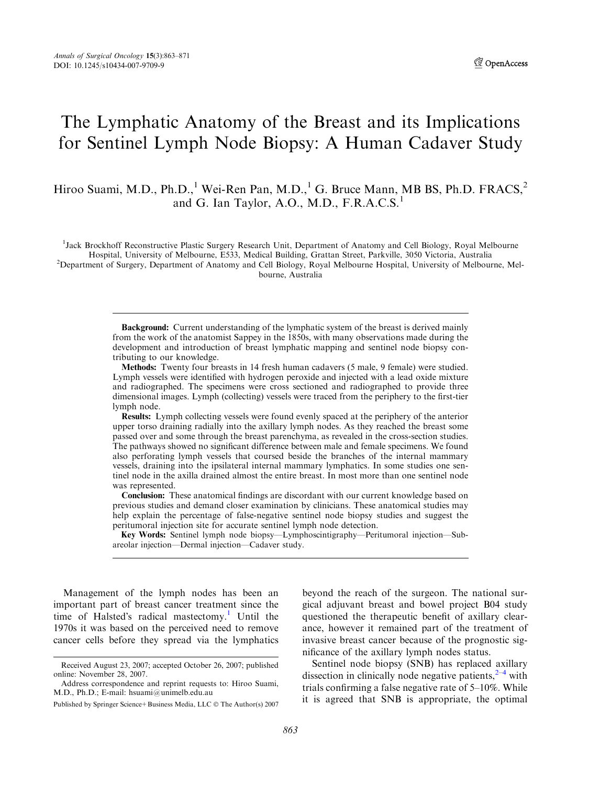# The Lymphatic Anatomy of the Breast and its Implications for Sentinel Lymph Node Biopsy: A Human Cadaver Study

Hiroo Suami, M.D., Ph.D.,<sup>1</sup> Wei-Ren Pan, M.D.,<sup>1</sup> G. Bruce Mann, MB BS, Ph.D. FRACS,<sup>2</sup> and G. Ian Taylor, A.O., M.D., F.R.A.C.S.<sup>1</sup>

<sup>1</sup>Jack Brockhoff Reconstructive Plastic Surgery Research Unit, Department of Anatomy and Cell Biology, Royal Melbourne Hospital, University of Melbourne, E533, Medical Building, Grattan Street, Parkville, 3050 Victoria, Australia <sup>2</sup> <sup>2</sup>Department of Surgery, Department of Anatomy and Cell Biology, Royal Melbourne Hospital, University of Melbourne, Melbourne, Australia

> Background: Current understanding of the lymphatic system of the breast is derived mainly from the work of the anatomist Sappey in the 1850s, with many observations made during the development and introduction of breast lymphatic mapping and sentinel node biopsy contributing to our knowledge.

> Methods: Twenty four breasts in 14 fresh human cadavers (5 male, 9 female) were studied. Lymph vessels were identified with hydrogen peroxide and injected with a lead oxide mixture and radiographed. The specimens were cross sectioned and radiographed to provide three dimensional images. Lymph (collecting) vessels were traced from the periphery to the first-tier lymph node.

> Results: Lymph collecting vessels were found evenly spaced at the periphery of the anterior upper torso draining radially into the axillary lymph nodes. As they reached the breast some passed over and some through the breast parenchyma, as revealed in the cross-section studies. The pathways showed no significant difference between male and female specimens. We found also perforating lymph vessels that coursed beside the branches of the internal mammary vessels, draining into the ipsilateral internal mammary lymphatics. In some studies one sentinel node in the axilla drained almost the entire breast. In most more than one sentinel node was represented.

> Conclusion: These anatomical findings are discordant with our current knowledge based on previous studies and demand closer examination by clinicians. These anatomical studies may help explain the percentage of false-negative sentinel node biopsy studies and suggest the peritumoral injection site for accurate sentinel lymph node detection.

> Key Words: Sentinel lymph node biopsy—Lymphoscintigraphy—Peritumoral injection—Subareolar injection—Dermal injection—Cadaver study.

Management of the lymph nodes has been an important part of breast cancer treatment since the time of Halsted's radical mastectomy.<sup>[1](#page-7-0)</sup> Until the 1970s it was based on the perceived need to remove cancer cells before they spread via the lymphatics beyond the reach of the surgeon. The national surgical adjuvant breast and bowel project B04 study questioned the therapeutic benefit of axillary clearance, however it remained part of the treatment of invasive breast cancer because of the prognostic significance of the axillary lymph nodes status.

Sentinel node biopsy (SNB) has replaced axillary dissection in clinically node negative patients,  $2-4$  $2-4$  $2-4$  with trials confirming a false negative rate of 5–10%. While it is agreed that SNB is appropriate, the optimal

Received August 23, 2007; accepted October 26, 2007; published online: November 28, 2007.

Address correspondence and reprint requests to: Hiroo Suami, M.D., Ph.D.; E-mail: hsuami@unimelb.edu.au

Published by Springer Science+ Business Media, LLC © The Author(s) 2007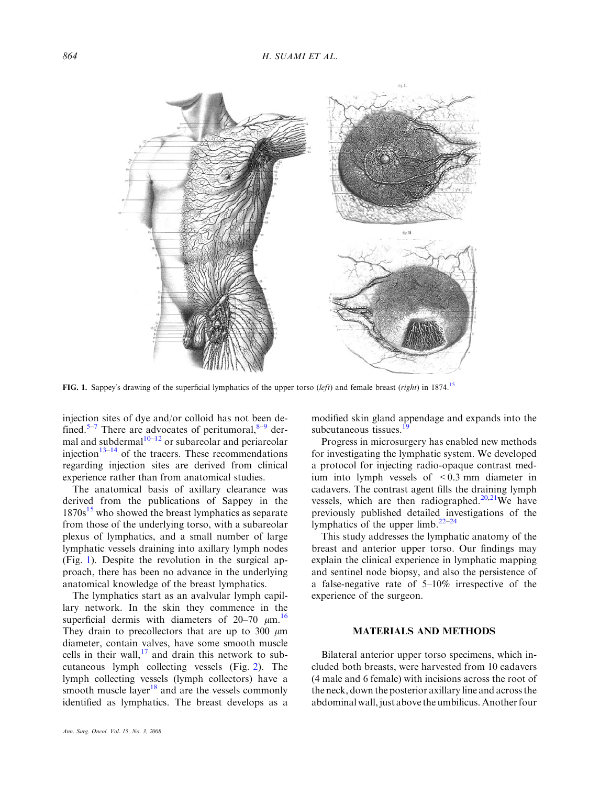<span id="page-1-0"></span>

FIG. 1. Sappey's drawing of the superficial lymphatics of the upper torso (left) and female breast (right) in 1874.<sup>[15](#page-7-0)</sup>

injection sites of dye and/or colloid has not been de-fined.<sup>[5–7](#page-7-0)</sup> There are advocates of peritumoral, $8-9$  $8-9$  $8-9$  dermal and subdermal $10-12$  or subareolar and periareolar injection $13-14$  of the tracers. These recommendations regarding injection sites are derived from clinical experience rather than from anatomical studies.

The anatomical basis of axillary clearance was derived from the publications of Sappey in the  $1870s^{15}$  $1870s^{15}$  $1870s^{15}$  who showed the breast lymphatics as separate from those of the underlying torso, with a subareolar plexus of lymphatics, and a small number of large lymphatic vessels draining into axillary lymph nodes (Fig. 1). Despite the revolution in the surgical approach, there has been no advance in the underlying anatomical knowledge of the breast lymphatics.

The lymphatics start as an avalvular lymph capillary network. In the skin they commence in the superficial dermis with diameters of  $20-70 \mu m$ .<sup>[16](#page-7-0)</sup> They drain to precollectors that are up to 300  $\mu$ m diameter, contain valves, have some smooth muscle cells in their wall, $^{17}$  $^{17}$  $^{17}$  and drain this network to subcutaneous lymph collecting vessels (Fig. [2](#page-2-0)). The lymph collecting vessels (lymph collectors) have a smooth muscle layer<sup>[18](#page-7-0)</sup> and are the vessels commonly identified as lymphatics. The breast develops as a modified skin gland appendage and expands into the subcutaneous tissues.<sup>1</sup>

Progress in microsurgery has enabled new methods for investigating the lymphatic system. We developed a protocol for injecting radio-opaque contrast medium into lymph vessels of <0.3 mm diameter in cadavers. The contrast agent fills the draining lymph vessels, which are then radiographed.<sup>20,21</sup>We have previously published detailed investigations of the lymphatics of the upper limb. $22-24$ 

This study addresses the lymphatic anatomy of the breast and anterior upper torso. Our findings may explain the clinical experience in lymphatic mapping and sentinel node biopsy, and also the persistence of a false-negative rate of 5–10% irrespective of the experience of the surgeon.

## MATERIALS AND METHODS

Bilateral anterior upper torso specimens, which included both breasts, were harvested from 10 cadavers (4 male and 6 female) with incisions across the root of the neck, down the posterior axillary line and across the abdominal wall, just above the umbilicus. Another four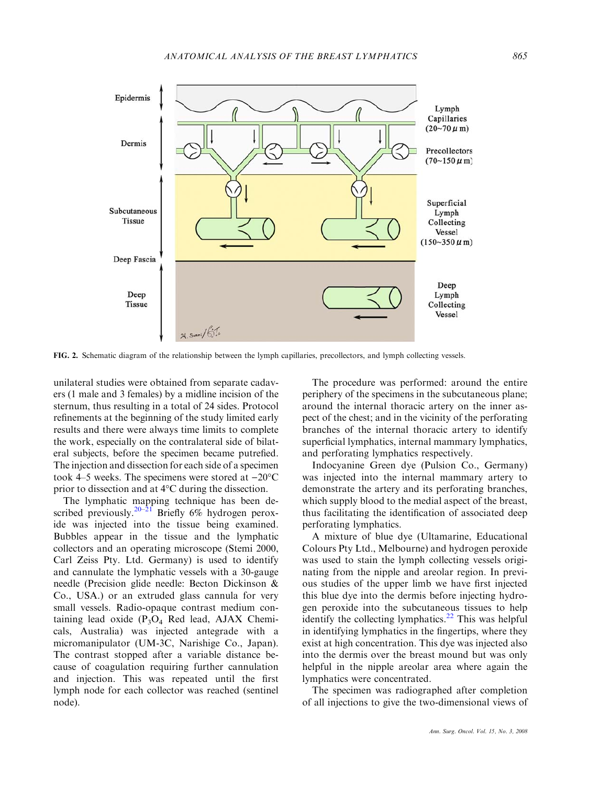<span id="page-2-0"></span>

FIG. 2. Schematic diagram of the relationship between the lymph capillaries, precollectors, and lymph collecting vessels.

unilateral studies were obtained from separate cadavers (1 male and 3 females) by a midline incision of the sternum, thus resulting in a total of 24 sides. Protocol refinements at the beginning of the study limited early results and there were always time limits to complete the work, especially on the contralateral side of bilateral subjects, before the specimen became putrefied. The injection and dissection for each side of a specimen took 4–5 weeks. The specimens were stored at  $-20^{\circ}$ C prior to dissection and at  $4^{\circ}$ C during the dissection.

The lymphatic mapping technique has been de-scribed previously.<sup>[20–21](#page-7-0)</sup> Briefly 6% hydrogen peroxide was injected into the tissue being examined. Bubbles appear in the tissue and the lymphatic collectors and an operating microscope (Stemi 2000, Carl Zeiss Pty. Ltd. Germany) is used to identify and cannulate the lymphatic vessels with a 30-gauge needle (Precision glide needle: Becton Dickinson & Co., USA.) or an extruded glass cannula for very small vessels. Radio-opaque contrast medium containing lead oxide  $(P_3O_4$  Red lead, AJAX Chemicals, Australia) was injected antegrade with a micromanipulator (UM-3C, Narishige Co., Japan). The contrast stopped after a variable distance because of coagulation requiring further cannulation and injection. This was repeated until the first lymph node for each collector was reached (sentinel node).

The procedure was performed: around the entire periphery of the specimens in the subcutaneous plane; around the internal thoracic artery on the inner aspect of the chest; and in the vicinity of the perforating branches of the internal thoracic artery to identify superficial lymphatics, internal mammary lymphatics, and perforating lymphatics respectively.

Indocyanine Green dye (Pulsion Co., Germany) was injected into the internal mammary artery to demonstrate the artery and its perforating branches, which supply blood to the medial aspect of the breast, thus facilitating the identification of associated deep perforating lymphatics.

A mixture of blue dye (Ultamarine, Educational Colours Pty Ltd., Melbourne) and hydrogen peroxide was used to stain the lymph collecting vessels originating from the nipple and areolar region. In previous studies of the upper limb we have first injected this blue dye into the dermis before injecting hydrogen peroxide into the subcutaneous tissues to help identify the collecting lymphatics. $^{22}$  This was helpful in identifying lymphatics in the fingertips, where they exist at high concentration. This dye was injected also into the dermis over the breast mound but was only helpful in the nipple areolar area where again the lymphatics were concentrated.

The specimen was radiographed after completion of all injections to give the two-dimensional views of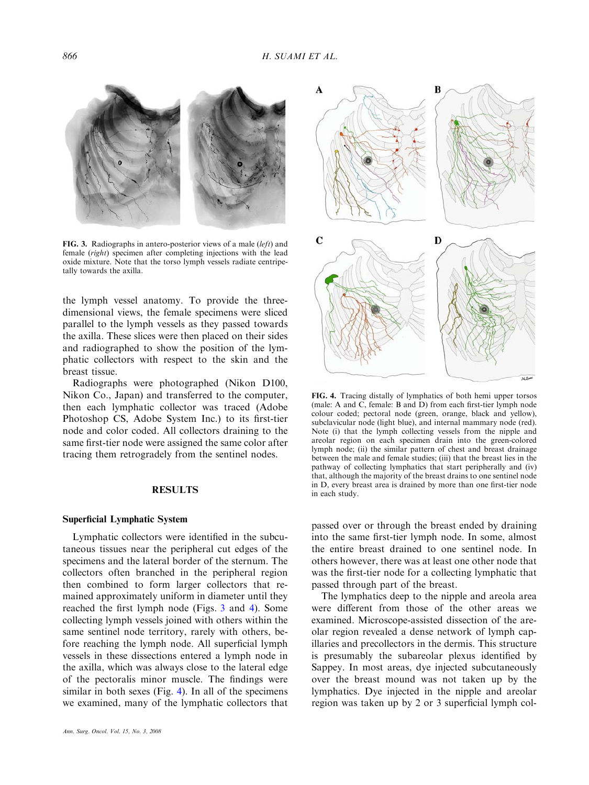<span id="page-3-0"></span>

FIG. 3. Radiographs in antero-posterior views of a male (left) and female (right) specimen after completing injections with the lead oxide mixture. Note that the torso lymph vessels radiate centripetally towards the axilla.

the lymph vessel anatomy. To provide the threedimensional views, the female specimens were sliced parallel to the lymph vessels as they passed towards the axilla. These slices were then placed on their sides and radiographed to show the position of the lymphatic collectors with respect to the skin and the breast tissue.

Radiographs were photographed (Nikon D100, Nikon Co., Japan) and transferred to the computer, then each lymphatic collector was traced (Adobe Photoshop CS, Adobe System Inc.) to its first-tier node and color coded. All collectors draining to the same first-tier node were assigned the same color after tracing them retrogradely from the sentinel nodes.

#### RESULTS

#### Superficial Lymphatic System

Lymphatic collectors were identified in the subcutaneous tissues near the peripheral cut edges of the specimens and the lateral border of the sternum. The collectors often branched in the peripheral region then combined to form larger collectors that remained approximately uniform in diameter until they reached the first lymph node (Figs. 3 and 4). Some collecting lymph vessels joined with others within the same sentinel node territory, rarely with others, before reaching the lymph node. All superficial lymph vessels in these dissections entered a lymph node in the axilla, which was always close to the lateral edge of the pectoralis minor muscle. The findings were similar in both sexes (Fig. 4). In all of the specimens we examined, many of the lymphatic collectors that



FIG. 4. Tracing distally of lymphatics of both hemi upper torsos (male: A and C, female: B and D) from each first-tier lymph node colour coded; pectoral node (green, orange, black and yellow), subclavicular node (light blue), and internal mammary node (red). Note (i) that the lymph collecting vessels from the nipple and areolar region on each specimen drain into the green-colored lymph node; (ii) the similar pattern of chest and breast drainage between the male and female studies; (iii) that the breast lies in the pathway of collecting lymphatics that start peripherally and (iv) that, although the majority of the breast drains to one sentinel node in D, every breast area is drained by more than one first-tier node in each study.

passed over or through the breast ended by draining into the same first-tier lymph node. In some, almost the entire breast drained to one sentinel node. In others however, there was at least one other node that was the first-tier node for a collecting lymphatic that passed through part of the breast.

The lymphatics deep to the nipple and areola area were different from those of the other areas we examined. Microscope-assisted dissection of the areolar region revealed a dense network of lymph capillaries and precollectors in the dermis. This structure is presumably the subareolar plexus identified by Sappey. In most areas, dye injected subcutaneously over the breast mound was not taken up by the lymphatics. Dye injected in the nipple and areolar region was taken up by 2 or 3 superficial lymph col-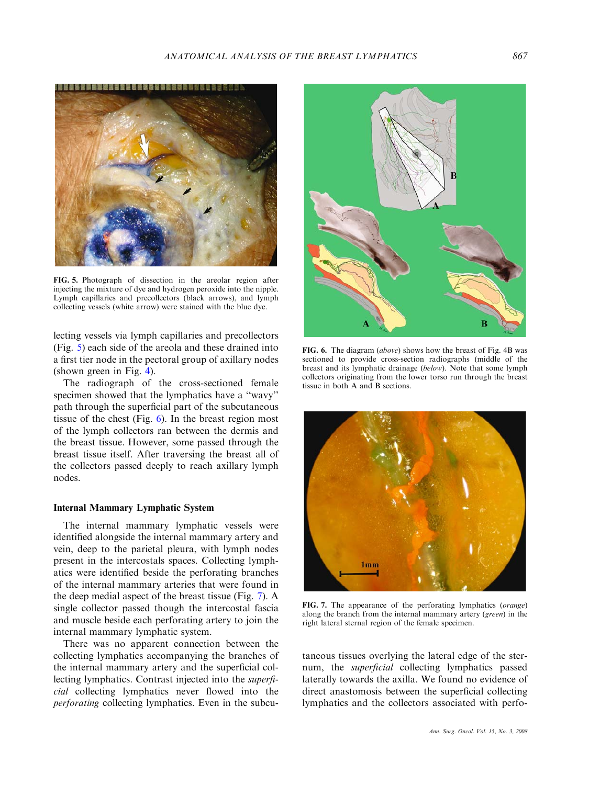

FIG. 5. Photograph of dissection in the areolar region after injecting the mixture of dye and hydrogen peroxide into the nipple. Lymph capillaries and precollectors (black arrows), and lymph collecting vessels (white arrow) were stained with the blue dye.

lecting vessels via lymph capillaries and precollectors (Fig. 5) each side of the areola and these drained into a first tier node in the pectoral group of axillary nodes (shown green in Fig. [4](#page-3-0)).

The radiograph of the cross-sectioned female specimen showed that the lymphatics have a ''wavy'' path through the superficial part of the subcutaneous tissue of the chest (Fig.  $6$ ). In the breast region most of the lymph collectors ran between the dermis and the breast tissue. However, some passed through the breast tissue itself. After traversing the breast all of the collectors passed deeply to reach axillary lymph nodes.

#### Internal Mammary Lymphatic System

The internal mammary lymphatic vessels were identified alongside the internal mammary artery and vein, deep to the parietal pleura, with lymph nodes present in the intercostals spaces. Collecting lymphatics were identified beside the perforating branches of the internal mammary arteries that were found in the deep medial aspect of the breast tissue (Fig. 7). A single collector passed though the intercostal fascia and muscle beside each perforating artery to join the internal mammary lymphatic system.

There was no apparent connection between the collecting lymphatics accompanying the branches of the internal mammary artery and the superficial collecting lymphatics. Contrast injected into the superficial collecting lymphatics never flowed into the perforating collecting lymphatics. Even in the subcu-



FIG. 6. The diagram (above) shows how the breast of Fig. 4B was sectioned to provide cross-section radiographs (middle of the breast and its lymphatic drainage (below). Note that some lymph collectors originating from the lower torso run through the breast tissue in both A and B sections.



FIG. 7. The appearance of the perforating lymphatics (orange) along the branch from the internal mammary artery (green) in the right lateral sternal region of the female specimen.

taneous tissues overlying the lateral edge of the sternum, the superficial collecting lymphatics passed laterally towards the axilla. We found no evidence of direct anastomosis between the superficial collecting lymphatics and the collectors associated with perfo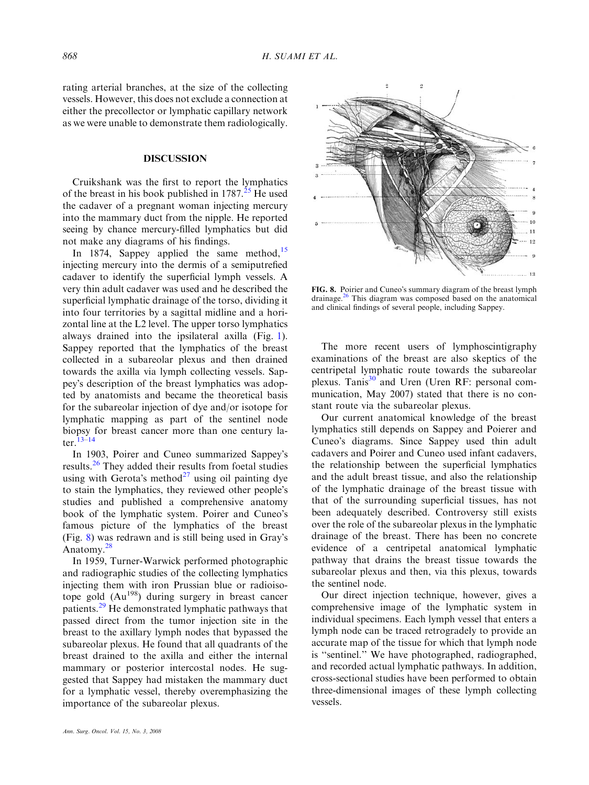rating arterial branches, at the size of the collecting vessels. However, this does not exclude a connection at either the precollector or lymphatic capillary network as we were unable to demonstrate them radiologically.

#### DISCUSSION

Cruikshank was the first to report the lymphatics of the breast in his book published in  $1787<sup>25</sup>$  $1787<sup>25</sup>$  $1787<sup>25</sup>$  He used the cadaver of a pregnant woman injecting mercury into the mammary duct from the nipple. He reported seeing by chance mercury-filled lymphatics but did not make any diagrams of his findings.

In 1874, Sappey applied the same method,  $15$ injecting mercury into the dermis of a semiputrefied cadaver to identify the superficial lymph vessels. A very thin adult cadaver was used and he described the superficial lymphatic drainage of the torso, dividing it into four territories by a sagittal midline and a horizontal line at the L2 level. The upper torso lymphatics always drained into the ipsilateral axilla (Fig. [1](#page-1-0)). Sappey reported that the lymphatics of the breast collected in a subareolar plexus and then drained towards the axilla via lymph collecting vessels. Sappeys description of the breast lymphatics was adopted by anatomists and became the theoretical basis for the subareolar injection of dye and/or isotope for lymphatic mapping as part of the sentinel node biopsy for breast cancer more than one century later.[13–14](#page-7-0)

In 1903, Poirer and Cuneo summarized Sappey's results.<sup>[26](#page-7-0)</sup> They added their results from foetal studies using with Gerota's method<sup>[27](#page-7-0)</sup> using oil painting dye to stain the lymphatics, they reviewed other people's studies and published a comprehensive anatomy book of the lymphatic system. Poirer and Cuneo's famous picture of the lymphatics of the breast (Fig. 8) was redrawn and is still being used in Grays Anatomy.<sup>[28](#page-8-0)</sup>

In 1959, Turner-Warwick performed photographic and radiographic studies of the collecting lymphatics injecting them with iron Prussian blue or radioisotope gold (Au<sup>198</sup>) during surgery in breast cancer patients.<sup>[29](#page-8-0)</sup> He demonstrated lymphatic pathways that passed direct from the tumor injection site in the breast to the axillary lymph nodes that bypassed the subareolar plexus. He found that all quadrants of the breast drained to the axilla and either the internal mammary or posterior intercostal nodes. He suggested that Sappey had mistaken the mammary duct for a lymphatic vessel, thereby overemphasizing the importance of the subareolar plexus.



FIG. 8. Poirier and Cuneo's summary diagram of the breast lymph drainage.[26](#page-7-0) This diagram was composed based on the anatomical and clinical findings of several people, including Sappey.

The more recent users of lymphoscintigraphy examinations of the breast are also skeptics of the centripetal lymphatic route towards the subareolar plexus. Tanis<sup>[30](#page-8-0)</sup> and Uren (Uren RF: personal communication, May 2007) stated that there is no constant route via the subareolar plexus.

Our current anatomical knowledge of the breast lymphatics still depends on Sappey and Poierer and Cuneo's diagrams. Since Sappey used thin adult cadavers and Poirer and Cuneo used infant cadavers, the relationship between the superficial lymphatics and the adult breast tissue, and also the relationship of the lymphatic drainage of the breast tissue with that of the surrounding superficial tissues, has not been adequately described. Controversy still exists over the role of the subareolar plexus in the lymphatic drainage of the breast. There has been no concrete evidence of a centripetal anatomical lymphatic pathway that drains the breast tissue towards the subareolar plexus and then, via this plexus, towards the sentinel node.

Our direct injection technique, however, gives a comprehensive image of the lymphatic system in individual specimens. Each lymph vessel that enters a lymph node can be traced retrogradely to provide an accurate map of the tissue for which that lymph node is ''sentinel.'' We have photographed, radiographed, and recorded actual lymphatic pathways. In addition, cross-sectional studies have been performed to obtain three-dimensional images of these lymph collecting vessels.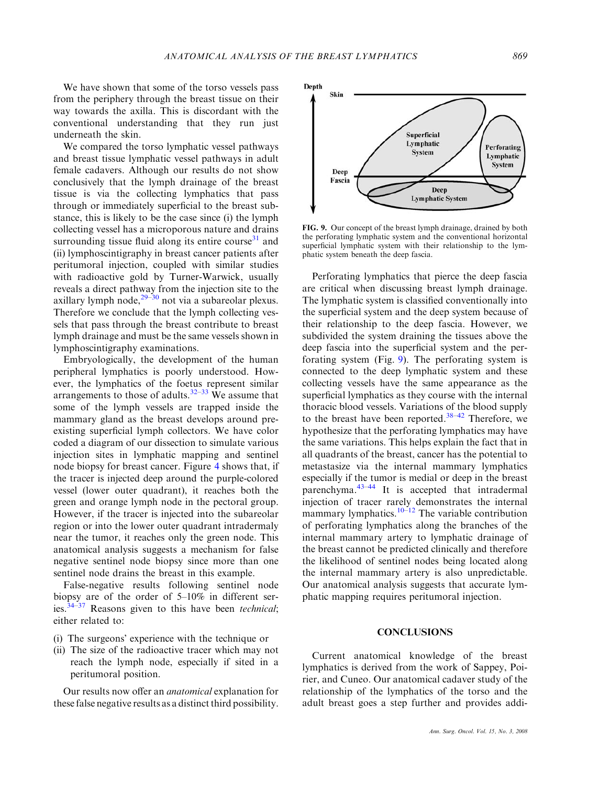We have shown that some of the torso vessels pass from the periphery through the breast tissue on their way towards the axilla. This is discordant with the conventional understanding that they run just underneath the skin.

We compared the torso lymphatic vessel pathways and breast tissue lymphatic vessel pathways in adult female cadavers. Although our results do not show conclusively that the lymph drainage of the breast tissue is via the collecting lymphatics that pass through or immediately superficial to the breast substance, this is likely to be the case since (i) the lymph collecting vessel has a microporous nature and drains surrounding tissue fluid along its entire course $31$  and (ii) lymphoscintigraphy in breast cancer patients after peritumoral injection, coupled with similar studies with radioactive gold by Turner-Warwick, usually reveals a direct pathway from the injection site to the axillary lymph node, $29-30$  not via a subareolar plexus. Therefore we conclude that the lymph collecting vessels that pass through the breast contribute to breast lymph drainage and must be the same vessels shown in lymphoscintigraphy examinations.

Embryologically, the development of the human peripheral lymphatics is poorly understood. However, the lymphatics of the foetus represent similar arrangements to those of adults.<sup>[32](#page-8-0)–[33](#page-8-0)</sup> We assume that some of the lymph vessels are trapped inside the mammary gland as the breast develops around preexisting superficial lymph collectors. We have color coded a diagram of our dissection to simulate various injection sites in lymphatic mapping and sentinel node biopsy for breast cancer. Figure [4](#page-3-0) shows that, if the tracer is injected deep around the purple-colored vessel (lower outer quadrant), it reaches both the green and orange lymph node in the pectoral group. However, if the tracer is injected into the subareolar region or into the lower outer quadrant intradermaly near the tumor, it reaches only the green node. This anatomical analysis suggests a mechanism for false negative sentinel node biopsy since more than one sentinel node drains the breast in this example.

False-negative results following sentinel node biopsy are of the order of 5–10% in different series. $34-37$  Reasons given to this have been *technical*; either related to:

- (i) The surgeons' experience with the technique or
- (ii) The size of the radioactive tracer which may not reach the lymph node, especially if sited in a peritumoral position.

Our results now offer an anatomical explanation for these false negative results as a distinct third possibility.



FIG. 9. Our concept of the breast lymph drainage, drained by both the perforating lymphatic system and the conventional horizontal superficial lymphatic system with their relationship to the lymphatic system beneath the deep fascia.

Perforating lymphatics that pierce the deep fascia are critical when discussing breast lymph drainage. The lymphatic system is classified conventionally into the superficial system and the deep system because of their relationship to the deep fascia. However, we subdivided the system draining the tissues above the deep fascia into the superficial system and the perforating system (Fig. 9). The perforating system is connected to the deep lymphatic system and these collecting vessels have the same appearance as the superficial lymphatics as they course with the internal thoracic blood vessels. Variations of the blood supply to the breast have been reported.<sup>[38–42](#page-8-0)</sup> Therefore, we hypothesize that the perforating lymphatics may have the same variations. This helps explain the fact that in all quadrants of the breast, cancer has the potential to metastasize via the internal mammary lymphatics especially if the tumor is medial or deep in the breast parenchyma. $43-44$  It is accepted that intradermal injection of tracer rarely demonstrates the internal mammary lymphatics. $10^{-12}$  The variable contribution of perforating lymphatics along the branches of the internal mammary artery to lymphatic drainage of the breast cannot be predicted clinically and therefore the likelihood of sentinel nodes being located along the internal mammary artery is also unpredictable. Our anatomical analysis suggests that accurate lymphatic mapping requires peritumoral injection.

# **CONCLUSIONS**

Current anatomical knowledge of the breast lymphatics is derived from the work of Sappey, Poirier, and Cuneo. Our anatomical cadaver study of the relationship of the lymphatics of the torso and the adult breast goes a step further and provides addi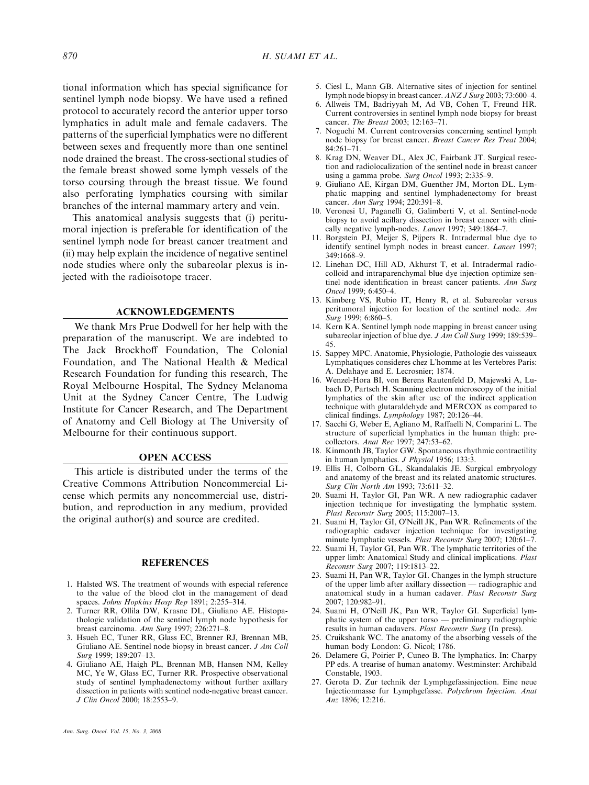<span id="page-7-0"></span>tional information which has special significance for sentinel lymph node biopsy. We have used a refined protocol to accurately record the anterior upper torso lymphatics in adult male and female cadavers. The patterns of the superficial lymphatics were no different between sexes and frequently more than one sentinel node drained the breast. The cross-sectional studies of the female breast showed some lymph vessels of the torso coursing through the breast tissue. We found also perforating lymphatics coursing with similar branches of the internal mammary artery and vein.

This anatomical analysis suggests that (i) peritumoral injection is preferable for identification of the sentinel lymph node for breast cancer treatment and (ii) may help explain the incidence of negative sentinel node studies where only the subareolar plexus is injected with the radioisotope tracer.

### ACKNOWLEDGEMENTS

We thank Mrs Prue Dodwell for her help with the preparation of the manuscript. We are indebted to The Jack Brockhoff Foundation, The Colonial Foundation, and The National Health & Medical Research Foundation for funding this research, The Royal Melbourne Hospital, The Sydney Melanoma Unit at the Sydney Cancer Centre, The Ludwig Institute for Cancer Research, and The Department of Anatomy and Cell Biology at The University of Melbourne for their continuous support.

#### OPEN ACCESS

This article is distributed under the terms of the Creative Commons Attribution Noncommercial License which permits any noncommercial use, distribution, and reproduction in any medium, provided the original author(s) and source are credited.

#### REFERENCES

- 1. Halsted WS. The treatment of wounds with especial reference to the value of the blood clot in the management of dead spaces. Johns Hopkins Hosp Rep 1891; 2:255-314.
- 2. Turner RR, Ollila DW, Krasne DL, Giuliano AE. Histopathologic validation of the sentinel lymph node hypothesis for breast carcinoma. Ann Surg 1997; 226:271–8.
- 3. Hsueh EC, Tuner RR, Glass EC, Brenner RJ, Brennan MB, Giuliano AE. Sentinel node biopsy in breast cancer. J Am Coll Surg 1999; 189:207–13.
- 4. Giuliano AE, Haigh PL, Brennan MB, Hansen NM, Kelley MC, Ye W, Glass EC, Turner RR. Prospective observational study of sentinel lymphadenectomy without further axillary dissection in patients with sentinel node-negative breast cancer. J Clin Oncol 2000; 18:2553–9.
- 5. Ciesl L, Mann GB. Alternative sites of injection for sentinel lymph node biopsy in breast cancer. ANZ J Surg 2003; 73:600–4.
- 6. Allweis TM, Badriyyah M, Ad VB, Cohen T, Freund HR. Current controversies in sentinel lymph node biopsy for breast cancer. The Breast 2003; 12:163–71.
- 7. Noguchi M. Current controversies concerning sentinel lymph node biopsy for breast cancer. Breast Cancer Res Treat 2004; 84:261–71.
- 8. Krag DN, Weaver DL, Alex JC, Fairbank JT. Surgical resection and radiolocalization of the sentinel node in breast cancer using a gamma probe. Surg Oncol 1993; 2:335–9.
- 9. Giuliano AE, Kirgan DM, Guenther JM, Morton DL. Lymphatic mapping and sentinel lymphadenectomy for breast cancer. Ann Surg 1994; 220:391–8.
- 10. Veronesi U, Paganelli G, Galimberti V, et al. Sentinel-node biopsy to avoid acillary dissection in breast cancer with clinically negative lymph-nodes. Lancet 1997; 349:1864–7.
- 11. Borgstein PJ, Meijer S, Pijpers R. Intradermal blue dye to identify sentinel lymph nodes in breast cancer. Lancet 1997; 349:1668–9.
- 12. Linehan DC, Hill AD, Akhurst T, et al. Intradermal radiocolloid and intraparenchymal blue dye injection optimize sentinel node identification in breast cancer patients. Ann Surg Oncol 1999; 6:450–4.
- 13. Kimberg VS, Rubio IT, Henry R, et al. Subareolar versus peritumoral injection for location of the sentinel node. Am Surg 1999; 6:860–5.
- 14. Kern KA. Sentinel lymph node mapping in breast cancer using subareolar injection of blue dye. *J Am Coll Surg* 1999; 189:539– 45.
- 15. Sappey MPC. Anatomie, Physiologie, Pathologie des vaisseaux Lymphatiques consideres chez L'homme at les Vertebres Paris: A. Delahaye and E. Lecrosnier; 1874.
- 16. Wenzel-Hora BI, von Berens Rautenfeld D, Majewski A, Lubach D, Partsch H. Scanning electron microscopy of the initial lymphatics of the skin after use of the indirect application technique with glutaraldehyde and MERCOX as compared to clinical findings. Lymphology 1987; 20:126–44.
- 17. Sacchi G, Weber E, Agliano M, Raffaelli N, Comparini L. The structure of superficial lymphatics in the human thigh: precollectors. Anat Rec 1997; 247:53–62.
- 18. Kinmonth JB, Taylor GW. Spontaneous rhythmic contractility in human lymphatics. J Physiol 1956; 133:3.
- 19. Ellis H, Colborn GL, Skandalakis JE. Surgical embryology and anatomy of the breast and its related anatomic structures. Surg Clin North Am 1993; 73:611–32.
- 20. Suami H, Taylor GI, Pan WR. A new radiographic cadaver injection technique for investigating the lymphatic system. Plast Reconstr Surg 2005; 115:2007–13.
- 21. Suami H, Taylor GI, O'Neill JK, Pan WR. Refinements of the radiographic cadaver injection technique for investigating minute lymphatic vessels. Plast Reconstr Surg 2007; 120:61–7.
- 22. Suami H, Taylor GI, Pan WR. The lymphatic territories of the upper limb: Anatomical Study and clinical implications. Plast Reconstr Surg 2007; 119:1813–22.
- 23. Suami H, Pan WR, Taylor GI. Changes in the lymph structure of the upper limb after axillary dissection — radiographic and anatomical study in a human cadaver. Plast Reconstr Surg 2007; 120:982–91.
- 24. Suami H, O'Neill JK, Pan WR, Taylor GI. Superficial lymphatic system of the upper torso — preliminary radiographic results in human cadavers. Plast Reconstr Surg (In press).
- 25. Cruikshank WC. The anatomy of the absorbing vessels of the human body London: G. Nicol; 1786.
- 26. Delamere G, Poirier P, Cuneo B. The lymphatics. In: Charpy PP eds. A trearise of human anatomy. Westminster: Archibald Constable, 1903.
- 27. Gerota D. Zur technik der Lymphgefassinjection. Eine neue Injectionmasse fur Lymphgefasse. Polychrom Injection. Anat Anz 1896; 12:216.